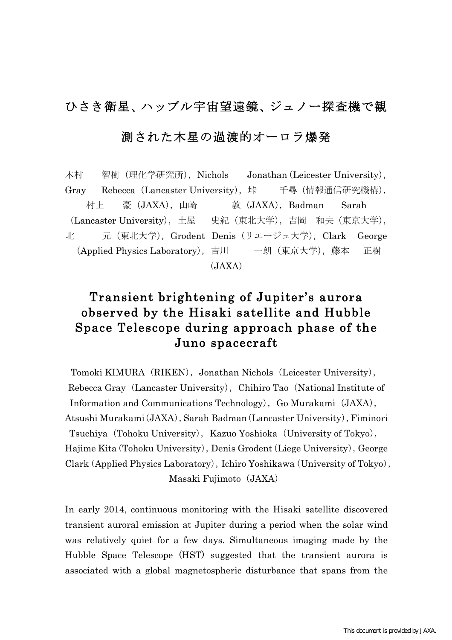## ひさき衛星、ハッブル宇宙望遠鏡、ジュノー探査機で観

## 測された木星の過渡的オーロラ爆発

木村 智樹 (理化学研究所), Nichols Jonathan (Leicester University), Gray Rebecca(Lancaster University),垰 千尋(情報通信研究機構), 村上 豪 (JAXA), 山崎 敦 (JAXA), Badman Sarah (Lancaster University),土屋 史紀(東北大学),吉岡 和夫(東京大学), 北 元(東北大学),Grodent Denis(リエージュ大学),Clark George (Applied Physics Laboratory),吉川 一朗(東京大学),藤本 正樹 (JAXA)

## Transient brightening of Jupiter's aurora observed by the Hisaki satellite and Hubble Space Telescope during approach phase of the Juno spacecraft

Tomoki KIMURA (RIKEN), Jonathan Nichols (Leicester University), Rebecca Gray (Lancaster University), Chihiro Tao (National Institute of Information and Communications Technology), Go Murakami (JAXA), Atsushi Murakami (JAXA), Sarah Badman (Lancaster University), Fiminori Tsuchiya (Tohoku University), Kazuo Yoshioka (University of Tokyo), Hajime Kita (Tohoku University), Denis Grodent (Liege University), George Clark (Applied Physics Laboratory), Ichiro Yoshikawa (University of Tokyo), Masaki Fujimoto (JAXA)

In early 2014, continuous monitoring with the Hisaki satellite discovered transient auroral emission at Jupiter during a period when the solar wind was relatively quiet for a few days. Simultaneous imaging made by the Hubble Space Telescope (HST) suggested that the transient aurora is associated with a global magnetospheric disturbance that spans from the